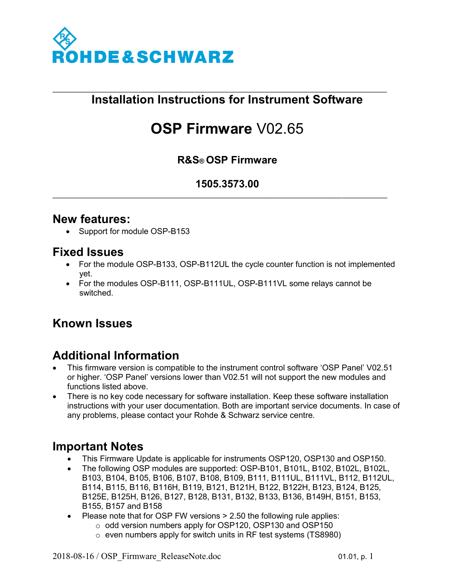

#### \_\_\_\_\_\_\_\_\_\_\_\_\_\_\_\_\_\_\_\_\_\_\_\_\_\_\_\_\_\_\_\_\_\_\_\_\_\_\_\_\_\_\_\_\_\_\_\_\_\_\_\_\_\_\_\_\_\_\_\_\_\_\_\_\_\_\_\_\_\_\_\_\_\_\_\_\_\_\_\_\_ **Installation Instructions for Instrument Software**

# **OSP Firmware** V02.65

### **R&S® OSP Firmware**

#### **1505.3573.00**

\_\_\_\_\_\_\_\_\_\_\_\_\_\_\_\_\_\_\_\_\_\_\_\_\_\_\_\_\_\_\_\_\_\_\_\_\_\_\_\_\_\_\_\_\_\_\_\_\_\_\_\_\_\_\_\_\_\_\_\_\_\_\_\_\_\_\_\_\_\_\_\_\_\_\_\_\_\_\_\_\_

#### **New features:**

• Support for module OSP-B153

## **Fixed Issues**

- For the module OSP-B133, OSP-B112UL the cycle counter function is not implemented yet.
- For the modules OSP-B111, OSP-B111UL, OSP-B111VL some relays cannot be switched.

# **Known Issues**

# **Additional Information**

- This firmware version is compatible to the instrument control software 'OSP Panel' V02.51 or higher. 'OSP Panel' versions lower than V02.51 will not support the new modules and functions listed above.
- There is no key code necessary for software installation. Keep these software installation instructions with your user documentation. Both are important service documents. In case of any problems, please contact your Rohde & Schwarz service centre.

## **Important Notes**

- This Firmware Update is applicable for instruments OSP120, OSP130 and OSP150.
- The following OSP modules are supported: OSP-B101, B101L, B102, B102L, B102L, B103, B104, B105, B106, B107, B108, B109, B111, B111UL, B111VL, B112, B112UL, B114, B115, B116, B116H, B119, B121, B121H, B122, B122H, B123, B124, B125, B125E, B125H, B126, B127, B128, B131, B132, B133, B136, B149H, B151, B153, B155, B157 and B158
- $\bullet$  Please note that for OSP FW versions  $> 2.50$  the following rule applies:
	- o odd version numbers apply for OSP120, OSP130 and OSP150
	- o even numbers apply for switch units in RF test systems (TS8980)